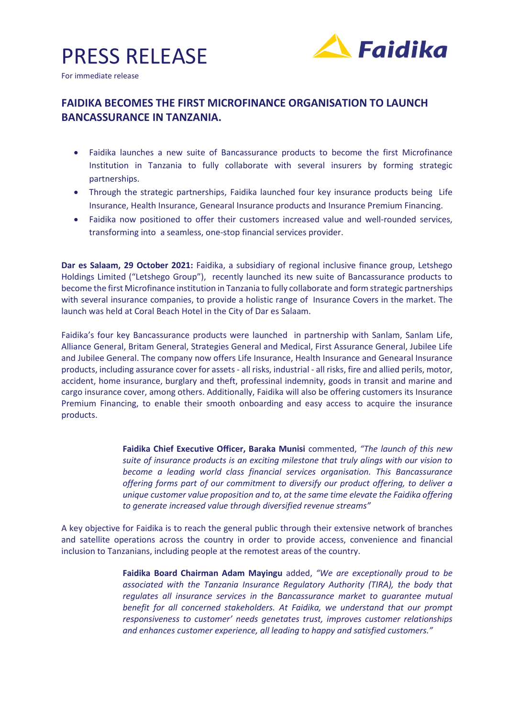



For immediate release

## **FAIDIKA BECOMES THE FIRST MICROFINANCE ORGANISATION TO LAUNCH BANCASSURANCE IN TANZANIA.**

- Faidika launches a new suite of Bancassurance products to become the first Microfinance Institution in Tanzania to fully collaborate with several insurers by forming strategic partnerships.
- Through the strategic partnerships, Faidika launched four key insurance products being Life Insurance, Health Insurance, Genearal Insurance products and Insurance Premium Financing.
- Faidika now positioned to offer their customers increased value and well-rounded services, transforming into a seamless, one-stop financial services provider.

**Dar es Salaam, 29 October 2021:** Faidika, a subsidiary of regional inclusive finance group, Letshego Holdings Limited ("Letshego Group"), recently launched its new suite of Bancassurance products to become the first Microfinance institution in Tanzania to fully collaborate and form strategic partnerships with several insurance companies, to provide a holistic range of Insurance Covers in the market. The launch was held at Coral Beach Hotel in the City of Dar es Salaam.

Faidika's four key Bancassurance products were launched in partnership with Sanlam, Sanlam Life, Alliance General, Britam General, Strategies General and Medical, First Assurance General, Jubilee Life and Jubilee General. The company now offers Life Insurance, Health Insurance and Genearal Insurance products, including assurance cover for assets - all risks, industrial - all risks, fire and allied perils, motor, accident, home insurance, burglary and theft, professinal indemnity, goods in transit and marine and cargo insurance cover, among others. Additionally, Faidika will also be offering customers its Insurance Premium Financing, to enable their smooth onboarding and easy access to acquire the insurance products.

> **Faidika Chief Executive Officer, Baraka Munisi** commented, *"The launch of this new suite of insurance products is an exciting milestone that truly alings with our vision to become a leading world class financial services organisation. This Bancassurance offering forms part of our commitment to diversify our product offering, to deliver a unique customer value proposition and to, at the same time elevate the Faidika offering to generate increased value through diversified revenue streams"*

A key objective for Faidika is to reach the general public through their extensive network of branches and satellite operations across the country in order to provide access, convenience and financial inclusion to Tanzanians, including people at the remotest areas of the country.

> **Faidika Board Chairman Adam Mayingu** added, *"We are exceptionally proud to be associated with the Tanzania Insurance Regulatory Authority (TIRA), the body that regulates all insurance services in the Bancassurance market to guarantee mutual benefit for all concerned stakeholders. At Faidika, we understand that our prompt responsiveness to customer' needs genetates trust, improves customer relationships and enhances customer experience, all leading to happy and satisfied customers."*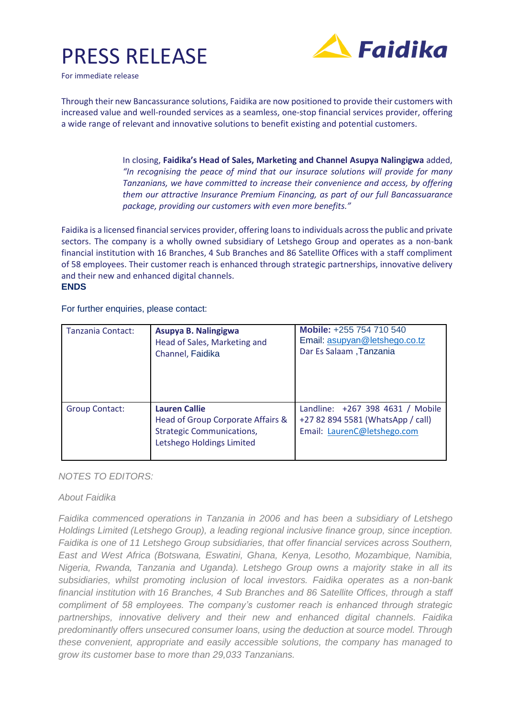## PRESS RELEASE



For immediate release

Through their new Bancassurance solutions, Faidika are now positioned to provide their customers with increased value and well-rounded services as a seamless, one-stop financial services provider, offering a wide range of relevant and innovative solutions to benefit existing and potential customers.

> In closing, **Faidika's Head of Sales, Marketing and Channel Asupya Nalingigwa** added, *"In recognising the peace of mind that our insurace solutions will provide for many Tanzanians, we have committed to increase their convenience and access, by offering them our attractive Insurance Premium Financing, as part of our full Bancassuarance package, providing our customers with even more benefits."*

Faidika is a licensed financial services provider, offering loans to individuals across the public and private sectors. The company is a wholly owned subsidiary of Letshego Group and operates as a non-bank financial institution with 16 Branches, 4 Sub Branches and 86 Satellite Offices with a staff compliment of 58 employees. Their customer reach is enhanced through strategic partnerships, innovative delivery and their new and enhanced digital channels. **ENDS**

For further enquiries, please contact:

| Tanzania Contact: | Asupya B. Nalingigwa<br>Head of Sales, Marketing and<br>Channel, Faidika                                                   | Mobile: +255 754 710 540<br>Email: asupyan@letshego.co.tz<br>Dar Es Salaam , Tanzania                |
|-------------------|----------------------------------------------------------------------------------------------------------------------------|------------------------------------------------------------------------------------------------------|
| Group Contact:    | <b>Lauren Callie</b><br>Head of Group Corporate Affairs &<br><b>Strategic Communications,</b><br>Letshego Holdings Limited | Landline: +267 398 4631 / Mobile<br>+27 82 894 5581 (WhatsApp / call)<br>Email: LaurenC@letshego.com |

## *NOTES TO EDITORS:*

## *About Faidika*

*Faidika commenced operations in Tanzania in 2006 and has been a subsidiary of Letshego Holdings Limited (Letshego Group), a leading regional inclusive finance group, since inception. Faidika is one of 11 Letshego Group subsidiaries, that offer financial services across Southern, East and West Africa (Botswana, Eswatini, Ghana, Kenya, Lesotho, Mozambique, Namibia, Nigeria, Rwanda, Tanzania and Uganda). Letshego Group owns a majority stake in all its subsidiaries, whilst promoting inclusion of local investors. Faidika operates as a non-bank financial institution with 16 Branches, 4 Sub Branches and 86 Satellite Offices, through a staff compliment of 58 employees. The company's customer reach is enhanced through strategic partnerships, innovative delivery and their new and enhanced digital channels. Faidika predominantly offers unsecured consumer loans, using the deduction at source model. Through these convenient, appropriate and easily accessible solutions, the company has managed to grow its customer base to more than 29,033 Tanzanians.*